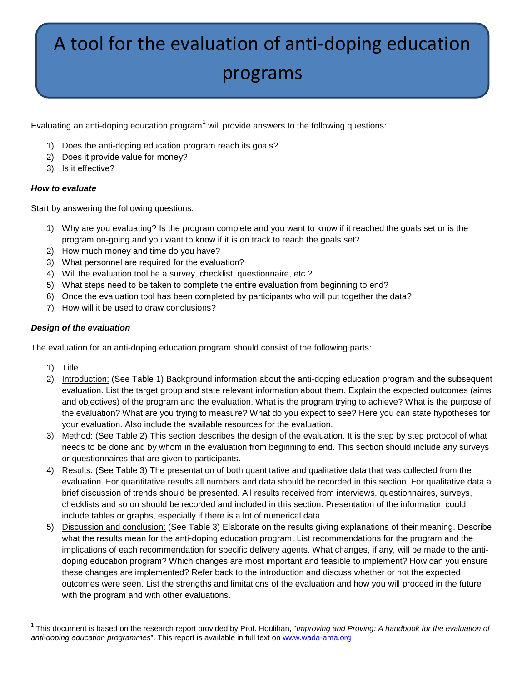# A tool for the evaluation of anti-doping education programs

Evaluating an anti-doping education program<sup>[1](#page-0-0)</sup> will provide answers to the following questions:

- 1) Does the anti-doping education program reach its goals?
- 2) Does it provide value for money?
- 3) Is it effective?

#### *How to evaluate*

Start by answering the following questions:

- 1) Why are you evaluating? Is the program complete and you want to know if it reached the goals set or is the program on-going and you want to know if it is on track to reach the goals set?
- 2) How much money and time do you have?
- 3) What personnel are required for the evaluation?
- 4) Will the evaluation tool be a survey, checklist, questionnaire, etc.?
- 5) What steps need to be taken to complete the entire evaluation from beginning to end?
- 6) Once the evaluation tool has been completed by participants who will put together the data?
- 7) How will it be used to draw conclusions?

#### *Design of the evaluation*

The evaluation for an anti-doping education program should consist of the following parts:

- 1) <u>Title</u>
- 2) Introduction: (See Table 1) Background information about the anti-doping education program and the subsequent evaluation. List the target group and state relevant information about them. Explain the expected outcomes (aims and objectives) of the program and the evaluation. What is the program trying to achieve? What is the purpose of the evaluation? What are you trying to measure? What do you expect to see? Here you can state hypotheses for your evaluation. Also include the available resources for the evaluation.
- 3)  <u>Method:</u> (See Table 2) This section describes the design of the evaluation. It is the step by step protocol of what needs to be done and by whom in the evaluation from beginning to end. This section should include any surveys or questionnaires that are given to participants.
- 4) Results: (See Table 3) The presentation of both quantitative and qualitative data that was collected from the evaluation. For quantitative results all numbers and data should be recorded in this section. For qualitative data a brief discussion of trends should be presented. All results received from interviews, questionnaires, surveys, checklists and so on should be recorded and included in this section. Presentation of the information could include tables or graphs, especially if there is a lot of numerical data.
- 5) Discussion and conclusion: (See Table 3) Elaborate on the results giving explanations of their meaning. Describe what the results mean for the anti-doping education program. List recommendations for the program and the implications of each recommendation for specific delivery agents. What changes, if any, will be made to the antidoping education program? Which changes are most important and feasible to implement? How can you ensure these changes are implemented? Refer back to the introduction and discuss whether or not the expected outcomes were seen. List the strengths and limitations of the evaluation and how you will proceed in the future with the program and with other evaluations.

<span id="page-0-0"></span> <sup>1</sup> This document is based on the research report provided by Prof. Houlihan, "*Improving and Proving: A handbook for the evaluation of anti-doping education programmes*". This report is available in full text on [www.wada-ama.org](http://www.wada-ama.org/)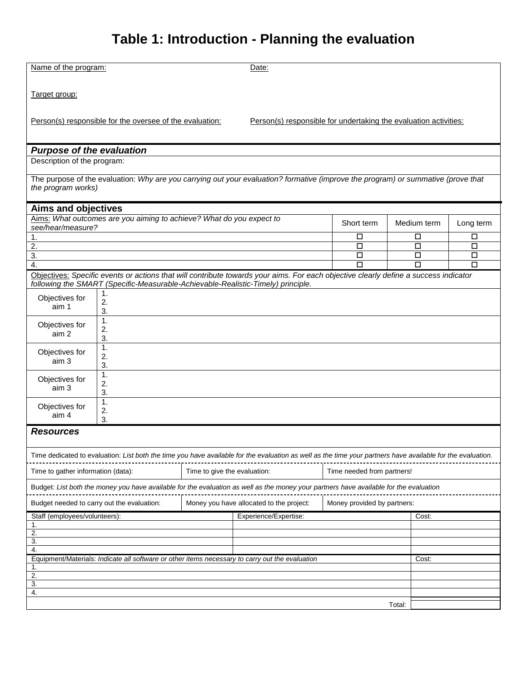# **Table 1: Introduction - Planning the evaluation**

| Name of the program:                                                                                                                                    |                                                                                  | Date:                        |                                                                                                                                                             |                             |             |           |  |  |
|---------------------------------------------------------------------------------------------------------------------------------------------------------|----------------------------------------------------------------------------------|------------------------------|-------------------------------------------------------------------------------------------------------------------------------------------------------------|-----------------------------|-------------|-----------|--|--|
| Target group:                                                                                                                                           |                                                                                  |                              |                                                                                                                                                             |                             |             |           |  |  |
| Person(s) responsible for the oversee of the evaluation:<br>Person(s) responsible for undertaking the evaluation activities:                            |                                                                                  |                              |                                                                                                                                                             |                             |             |           |  |  |
| <b>Purpose of the evaluation</b>                                                                                                                        |                                                                                  |                              |                                                                                                                                                             |                             |             |           |  |  |
| Description of the program:                                                                                                                             |                                                                                  |                              |                                                                                                                                                             |                             |             |           |  |  |
| The purpose of the evaluation: Why are you carrying out your evaluation? formative (improve the program) or summative (prove that<br>the program works) |                                                                                  |                              |                                                                                                                                                             |                             |             |           |  |  |
| <b>Aims and objectives</b>                                                                                                                              |                                                                                  |                              |                                                                                                                                                             |                             |             |           |  |  |
| see/hear/measure?                                                                                                                                       | Aims: What outcomes are you aiming to achieve? What do you expect to             |                              |                                                                                                                                                             | Short term                  | Medium term | Long term |  |  |
| 1.                                                                                                                                                      |                                                                                  |                              |                                                                                                                                                             | □                           | □           | □         |  |  |
| 2.                                                                                                                                                      |                                                                                  |                              |                                                                                                                                                             | □                           | $\Box$      | $\Box$    |  |  |
| 3.<br>4.                                                                                                                                                |                                                                                  |                              |                                                                                                                                                             | □<br>П                      | $\Box$<br>□ | □<br>□    |  |  |
|                                                                                                                                                         |                                                                                  |                              | Objectives: Specific events or actions that will contribute towards your aims. For each objective clearly define a success indicator                        |                             |             |           |  |  |
|                                                                                                                                                         | following the SMART (Specific-Measurable-Achievable-Realistic-Timely) principle. |                              |                                                                                                                                                             |                             |             |           |  |  |
| Objectives for<br>aim 1                                                                                                                                 | 1.<br>2.<br>3.                                                                   |                              |                                                                                                                                                             |                             |             |           |  |  |
| Objectives for<br>aim 2                                                                                                                                 | 1.<br>2.<br>3.                                                                   |                              |                                                                                                                                                             |                             |             |           |  |  |
| Objectives for<br>aim 3                                                                                                                                 | 1.<br>2.<br>3.                                                                   |                              |                                                                                                                                                             |                             |             |           |  |  |
| Objectives for<br>aim 3                                                                                                                                 | 1.<br>2.<br>3.                                                                   |                              |                                                                                                                                                             |                             |             |           |  |  |
| Objectives for<br>aim 4                                                                                                                                 | 1.<br>2.<br>3.                                                                   |                              |                                                                                                                                                             |                             |             |           |  |  |
| <b>Resources</b>                                                                                                                                        |                                                                                  |                              |                                                                                                                                                             |                             |             |           |  |  |
|                                                                                                                                                         |                                                                                  |                              | Time dedicated to evaluation: List both the time you have available for the evaluation as well as the time your partners have available for the evaluation. |                             |             |           |  |  |
| Time to gather information (data):                                                                                                                      |                                                                                  | Time to give the evaluation: |                                                                                                                                                             | Time needed from partners!  |             |           |  |  |
| Budget: List both the money you have available for the evaluation as well as the money your partners have available for the evaluation                  |                                                                                  |                              |                                                                                                                                                             |                             |             |           |  |  |
| Budget needed to carry out the evaluation:                                                                                                              |                                                                                  |                              | Money you have allocated to the project:                                                                                                                    | Money provided by partners: |             |           |  |  |
| Staff (employees/volunteers):                                                                                                                           |                                                                                  |                              | Experience/Expertise:                                                                                                                                       |                             | Cost:       |           |  |  |
| 1.<br>2.                                                                                                                                                |                                                                                  |                              |                                                                                                                                                             |                             |             |           |  |  |
| 3.                                                                                                                                                      |                                                                                  |                              |                                                                                                                                                             |                             |             |           |  |  |
| 4.                                                                                                                                                      |                                                                                  |                              |                                                                                                                                                             |                             |             |           |  |  |
| Equipment/Materials: Indicate all software or other items necessary to carry out the evaluation                                                         |                                                                                  |                              |                                                                                                                                                             |                             | Cost:       |           |  |  |
| 1.<br>2.                                                                                                                                                |                                                                                  |                              |                                                                                                                                                             |                             |             |           |  |  |
| 3.                                                                                                                                                      |                                                                                  |                              |                                                                                                                                                             |                             |             |           |  |  |
| 4.                                                                                                                                                      |                                                                                  |                              |                                                                                                                                                             |                             |             |           |  |  |
| Total:                                                                                                                                                  |                                                                                  |                              |                                                                                                                                                             |                             |             |           |  |  |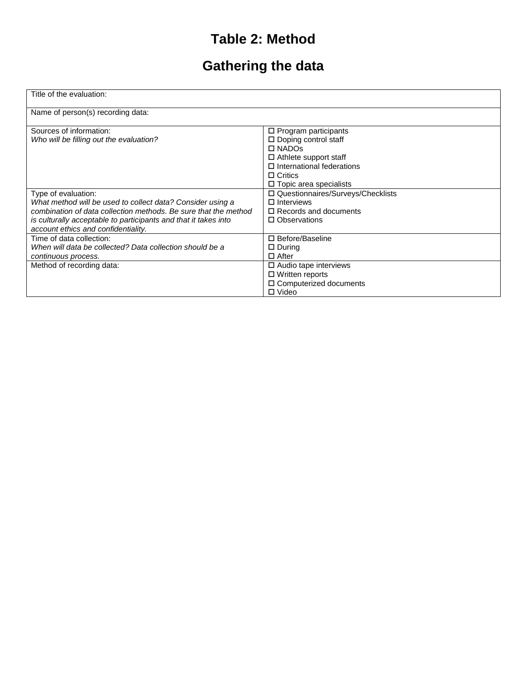## **Table 2: Method**

# **Gathering the data**

| Title of the evaluation:                                                                                                                                                                                                                                       |                                                                                                                     |
|----------------------------------------------------------------------------------------------------------------------------------------------------------------------------------------------------------------------------------------------------------------|---------------------------------------------------------------------------------------------------------------------|
| Name of person(s) recording data:                                                                                                                                                                                                                              |                                                                                                                     |
| Sources of information:<br>Who will be filling out the evaluation?                                                                                                                                                                                             | $\Box$ Program participants<br>$\Box$ Doping control staff<br>$\Box$ NADOs                                          |
|                                                                                                                                                                                                                                                                | $\Box$ Athlete support staff<br>$\Box$ International federations<br>$\Box$ Critics<br>$\Box$ Topic area specialists |
| Type of evaluation:<br>What method will be used to collect data? Consider using a<br>combination of data collection methods. Be sure that the method<br>is culturally acceptable to participants and that it takes into<br>account ethics and confidentiality. | □ Questionnaires/Surveys/Checklists<br>$\Box$ Interviews<br>$\Box$ Records and documents<br>□ Observations          |
| Time of data collection:<br>When will data be collected? Data collection should be a<br>continuous process.                                                                                                                                                    | □ Before/Baseline<br>$\Box$ During<br>$\Box$ After                                                                  |
| Method of recording data:                                                                                                                                                                                                                                      | $\square$ Audio tape interviews<br>$\Box$ Written reports<br>$\square$ Computerized documents<br>$\Box$ Video       |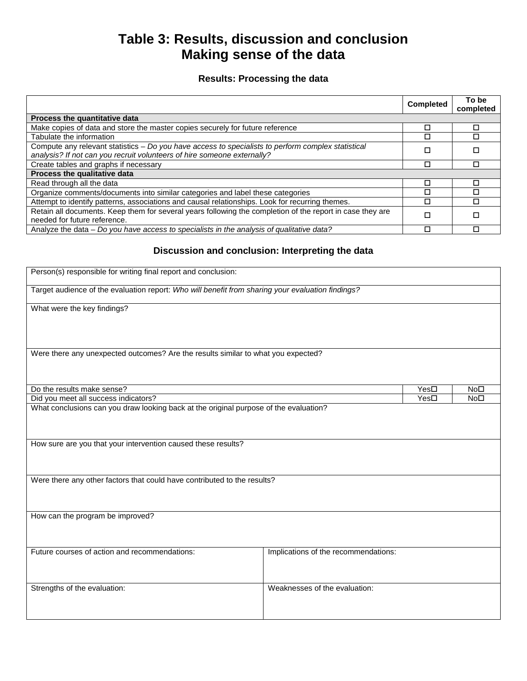### **Table 3: Results, discussion and conclusion Making sense of the data**

### **Results: Processing the data**

|                                                                                                                                                                               | <b>Completed</b> | To be<br>completed |
|-------------------------------------------------------------------------------------------------------------------------------------------------------------------------------|------------------|--------------------|
| Process the quantitative data                                                                                                                                                 |                  |                    |
| Make copies of data and store the master copies securely for future reference                                                                                                 | П                | П                  |
| Tabulate the information                                                                                                                                                      |                  |                    |
| Compute any relevant statistics - Do you have access to specialists to perform complex statistical<br>analysis? If not can you recruit volunteers of hire someone externally? |                  | П                  |
| Create tables and graphs if necessary                                                                                                                                         |                  |                    |
| Process the qualitative data                                                                                                                                                  |                  |                    |
| Read through all the data                                                                                                                                                     |                  | □                  |
| Organize comments/documents into similar categories and label these categories                                                                                                |                  | г                  |
| Attempt to identify patterns, associations and causal relationships. Look for recurring themes.                                                                               |                  |                    |
| Retain all documents. Keep them for several years following the completion of the report in case they are<br>needed for future reference.                                     | П                | □                  |
| Analyze the data - Do you have access to specialists in the analysis of qualitative data?                                                                                     |                  |                    |

### **Discussion and conclusion: Interpreting the data**

| Person(s) responsible for writing final report and conclusion:                                                                            |                                      |                 |                 |
|-------------------------------------------------------------------------------------------------------------------------------------------|--------------------------------------|-----------------|-----------------|
| Target audience of the evaluation report: Who will benefit from sharing your evaluation findings?                                         |                                      |                 |                 |
| What were the key findings?                                                                                                               |                                      |                 |                 |
| Were there any unexpected outcomes? Are the results similar to what you expected?                                                         |                                      |                 |                 |
| Do the results make sense?                                                                                                                | Yes□<br>Yes <sub>D</sub>             | No <sub>D</sub> |                 |
| Did you meet all success indicators?                                                                                                      |                                      |                 | No <sub>D</sub> |
| How sure are you that your intervention caused these results?<br>Were there any other factors that could have contributed to the results? |                                      |                 |                 |
| How can the program be improved?                                                                                                          |                                      |                 |                 |
| Future courses of action and recommendations:                                                                                             | Implications of the recommendations: |                 |                 |
| Strengths of the evaluation:                                                                                                              | Weaknesses of the evaluation:        |                 |                 |